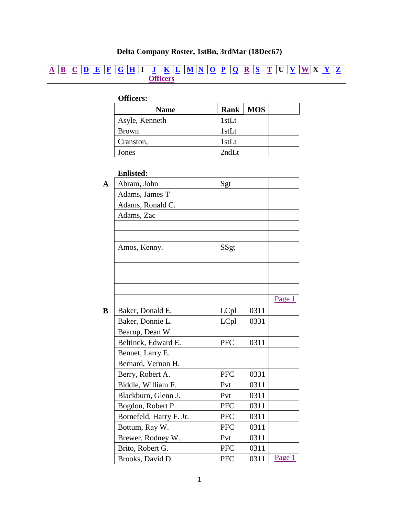## **Delta Company Roster, 1stBn, 3rdMar (18Dec67)**

## <span id="page-0-3"></span>**[A](#page-0-0) [B](#page-0-1) [C](#page-1-0) [D](#page-1-1) [E](#page-1-2) [F](#page-1-3) [G](#page-2-0) [H](#page-2-1) I [J](#page-2-2) [K](#page-2-3) [L](#page-3-0) [M](#page-3-1) [N](#page-3-2) [O](#page-3-3) [P](#page-3-4) [Q](#page-4-0) [R](#page-4-1) [S](#page-4-2) [T](#page-4-3) U [V](#page-4-4) [W](#page-4-5) X [Y](#page-4-6) [Z](#page-4-7) [Officers](#page-0-2)**

## <span id="page-0-2"></span>**Officers:**

| <b>Name</b>    |       | Rank   MOS |  |
|----------------|-------|------------|--|
| Asyle, Kenneth | 1stLt |            |  |
| <b>Brown</b>   | 1stLt |            |  |
| Cranston,      | 1stLt |            |  |
| Jones          | 2ndLt |            |  |

## **Enlisted:**

<span id="page-0-1"></span><span id="page-0-0"></span>

| $\overline{\mathbf{A}}$ | Abram, John             | Sgt        |      |        |
|-------------------------|-------------------------|------------|------|--------|
|                         | Adams, James T          |            |      |        |
|                         | Adams, Ronald C.        |            |      |        |
|                         | Adams, Zac              |            |      |        |
|                         |                         |            |      |        |
|                         |                         |            |      |        |
|                         | Amos, Kenny.            | SSgt       |      |        |
|                         |                         |            |      |        |
|                         |                         |            |      |        |
|                         |                         |            |      |        |
|                         |                         |            |      |        |
|                         |                         |            |      | Page 1 |
| B                       | Baker, Donald E.        | LCpl       | 0311 |        |
|                         | Baker, Donnie L.        | LCpl       | 0331 |        |
|                         | Bearup, Dean W.         |            |      |        |
|                         | Beltinck, Edward E.     | <b>PFC</b> | 0311 |        |
|                         | Bennet, Larry E.        |            |      |        |
|                         | Bernard, Vernon H.      |            |      |        |
|                         | Berry, Robert A.        | <b>PFC</b> | 0331 |        |
|                         | Biddle, William F.      | Pvt        | 0311 |        |
|                         | Blackburn, Glenn J.     | Pvt        | 0311 |        |
|                         | Bogdon, Robert P.       | <b>PFC</b> | 0311 |        |
|                         | Bornefeld, Harry F. Jr. | <b>PFC</b> | 0311 |        |
|                         | Bottum, Ray W.          | <b>PFC</b> | 0311 |        |
|                         | Brewer, Rodney W.       | Pvt        | 0311 |        |
|                         | Brito, Robert G.        | <b>PFC</b> | 0311 |        |
|                         | Brooks, David D.        | <b>PFC</b> | 0311 | Page 1 |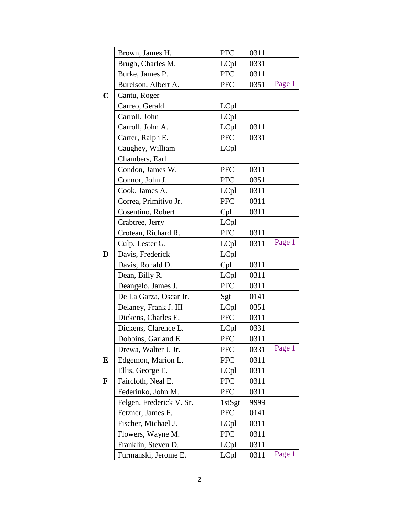<span id="page-1-3"></span><span id="page-1-2"></span><span id="page-1-1"></span><span id="page-1-0"></span>

|             | Brown, James H.          | <b>PFC</b>    | 0311 |        |
|-------------|--------------------------|---------------|------|--------|
|             | Brugh, Charles M.        | LCpl          | 0331 |        |
|             | Burke, James P.          | <b>PFC</b>    | 0311 |        |
|             | Burelson, Albert A.      | PFC           | 0351 | Page 1 |
| $\mathbf C$ | Cantu, Roger             |               |      |        |
|             | Carreo, Gerald           | LCpl          |      |        |
|             | Carroll, John            | LCpl          |      |        |
|             | Carroll, John A.         | LCpl          | 0311 |        |
|             | Carter, Ralph E.         | <b>PFC</b>    | 0331 |        |
|             | Caughey, William         | LCpl          |      |        |
|             | Chambers, Earl           |               |      |        |
|             | Condon, James W.         | <b>PFC</b>    | 0311 |        |
|             | Connor, John J.          | ${\rm PFC}$   | 0351 |        |
|             | Cook, James A.           | LCpl          | 0311 |        |
|             | Correa, Primitivo Jr.    | PFC           | 0311 |        |
|             | Cosentino, Robert        | Cpl           | 0311 |        |
|             | Crabtree, Jerry          | LCpl          |      |        |
|             | Croteau, Richard R.      | <b>PFC</b>    | 0311 |        |
|             | Culp, Lester G.          | LCpl          | 0311 | Page 1 |
| D           | Davis, Frederick         | LCpl          |      |        |
|             | Davis, Ronald D.         | Cpl           | 0311 |        |
|             | Dean, Billy R.           | LCpl          | 0311 |        |
|             | Deangelo, James J.       | <b>PFC</b>    | 0311 |        |
|             | De La Garza, Oscar Jr.   | Sgt           | 0141 |        |
|             | Delaney, Frank J. III    | LCpl          | 0351 |        |
|             | Dickens, Charles E.      | <b>PFC</b>    | 0311 |        |
|             | Dickens, Clarence L.     | LCpl          | 0331 |        |
|             | Dobbins, Garland E.      | PFC           | 0311 |        |
|             | Drewa, Walter J. Jr.     | <b>PFC</b>    | 0331 | Page 1 |
| E           | Edgemon, Marion L.       | PFC           | 0311 |        |
|             | Ellis, George E.         | LCpl          | 0311 |        |
| F           | Faircloth, Neal E.       | <b>PFC</b>    | 0311 |        |
|             | Federinko, John M.       | <b>PFC</b>    | 0311 |        |
|             | Felgen, Frederick V. Sr. | $1$ st $S$ gt | 9999 |        |
|             | Fetzner, James F.        | <b>PFC</b>    | 0141 |        |
|             | Fischer, Michael J.      | LCpl          | 0311 |        |
|             | Flowers, Wayne M.        | <b>PFC</b>    | 0311 |        |
|             | Franklin, Steven D.      | LCpl          | 0311 |        |
|             | Furmanski, Jerome E.     | LCpl          | 0311 | Page 1 |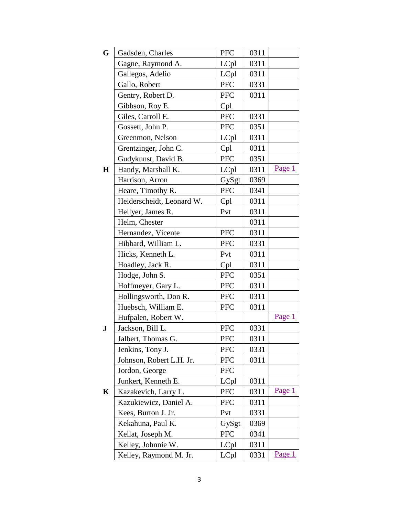<span id="page-2-3"></span><span id="page-2-2"></span><span id="page-2-1"></span><span id="page-2-0"></span>

| G           | Gadsden, Charles          | <b>PFC</b> | 0311 |        |
|-------------|---------------------------|------------|------|--------|
|             | Gagne, Raymond A.         | LCpl       | 0311 |        |
|             | Gallegos, Adelio          | LCpl       | 0311 |        |
|             | Gallo, Robert             | <b>PFC</b> | 0331 |        |
|             | Gentry, Robert D.         | PFC        | 0311 |        |
|             | Gibbson, Roy E.           | Cpl        |      |        |
|             | Giles, Carroll E.         | PFC        | 0331 |        |
|             | Gossett, John P.          | <b>PFC</b> | 0351 |        |
|             | Greenmon, Nelson          | LCpl       | 0311 |        |
|             | Grentzinger, John C.      | Cpl        | 0311 |        |
|             | Gudykunst, David B.       | PFC        | 0351 |        |
| $\mathbf H$ | Handy, Marshall K.        | LCpl       | 0311 | Page 1 |
|             | Harrison, Arron           | GySgt      | 0369 |        |
|             | Heare, Timothy R.         | PFC        | 0341 |        |
|             | Heiderscheidt, Leonard W. | Cpl        | 0311 |        |
|             | Hellyer, James R.         | Pvt        | 0311 |        |
|             | Helm, Chester             |            | 0311 |        |
|             | Hernandez, Vicente        | PFC        | 0311 |        |
|             | Hibbard, William L.       | <b>PFC</b> | 0331 |        |
|             | Hicks, Kenneth L.         | Pvt        | 0311 |        |
|             | Hoadley, Jack R.          | Cpl        | 0311 |        |
|             | Hodge, John S.            | <b>PFC</b> | 0351 |        |
|             | Hoffmeyer, Gary L.        | <b>PFC</b> | 0311 |        |
|             | Hollingsworth, Don R.     | PFC        | 0311 |        |
|             | Huebsch, William E.       | <b>PFC</b> | 0311 |        |
|             | Hufpalen, Robert W.       |            |      | Page 1 |
| ${\bf J}$   | Jackson, Bill L.          | <b>PFC</b> | 0331 |        |
|             | Jalbert, Thomas G.        | <b>PFC</b> | 0311 |        |
|             | Jenkins, Tony J.          | <b>PFC</b> | 0331 |        |
|             | Johnson, Robert L.H. Jr.  | <b>PFC</b> | 0311 |        |
|             | Jordon, George            | <b>PFC</b> |      |        |
|             | Junkert, Kenneth E.       | LCpl       | 0311 |        |
| K           | Kazakevich, Larry L.      | <b>PFC</b> | 0311 | Page 1 |
|             | Kazukiewicz, Daniel A.    | <b>PFC</b> | 0311 |        |
|             | Kees, Burton J. Jr.       | Pvt        | 0331 |        |
|             | Kekahuna, Paul K.         | GySgt      | 0369 |        |
|             | Kellat, Joseph M.         | <b>PFC</b> | 0341 |        |
|             | Kelley, Johnnie W.        | LCpl       | 0311 |        |
|             | Kelley, Raymond M. Jr.    | LCpl       | 0331 | Page 1 |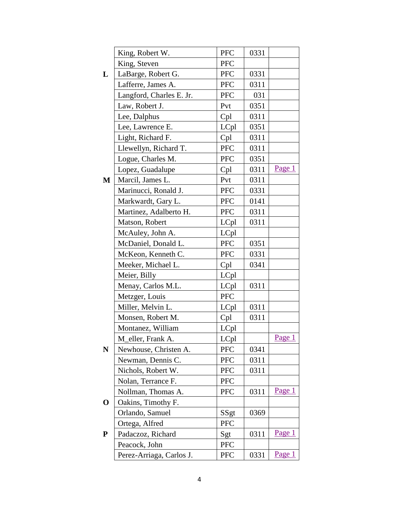<span id="page-3-4"></span><span id="page-3-3"></span><span id="page-3-2"></span><span id="page-3-1"></span><span id="page-3-0"></span>

|             | King, Robert W.          | PFC        | 0331 |        |
|-------------|--------------------------|------------|------|--------|
|             | King, Steven             | <b>PFC</b> |      |        |
| L           | LaBarge, Robert G.       | <b>PFC</b> | 0331 |        |
|             | Lafferre, James A.       | <b>PFC</b> | 0311 |        |
|             | Langford, Charles E. Jr. | <b>PFC</b> | 031  |        |
|             | Law, Robert J.           | Pvt        | 0351 |        |
|             | Lee, Dalphus             | Cpl        | 0311 |        |
|             | Lee, Lawrence E.         | LCpl       | 0351 |        |
|             | Light, Richard F.        | Cpl        | 0311 |        |
|             | Llewellyn, Richard T.    | <b>PFC</b> | 0311 |        |
|             | Logue, Charles M.        | PFC        | 0351 |        |
|             | Lopez, Guadalupe         | Cpl        | 0311 | Page 1 |
| M           | Marcil, James L.         | Pvt        | 0311 |        |
|             | Marinucci, Ronald J.     | PFC        | 0331 |        |
|             | Markwardt, Gary L.       | <b>PFC</b> | 0141 |        |
|             | Martinez, Adalberto H.   | <b>PFC</b> | 0311 |        |
|             | Matson, Robert           | LCpl       | 0311 |        |
|             | McAuley, John A.         | LCpl       |      |        |
|             | McDaniel, Donald L.      | PFC        | 0351 |        |
|             | McKeon, Kenneth C.       | <b>PFC</b> | 0331 |        |
|             | Meeker, Michael L.       | Cpl        | 0341 |        |
|             | Meier, Billy             | LCpl       |      |        |
|             | Menay, Carlos M.L.       | LCpl       | 0311 |        |
|             | Metzger, Louis           | PFC        |      |        |
|             | Miller, Melvin L.        | LCpl       | 0311 |        |
|             | Monsen, Robert M.        | Cpl        | 0311 |        |
|             | Montanez, William        | LCpl       |      |        |
|             | M_eller, Frank A.        | LCpl       |      | Page 1 |
| ${\bf N}$   | Newhouse, Christen A.    | <b>PFC</b> | 0341 |        |
|             | Newman, Dennis C.        | <b>PFC</b> | 0311 |        |
|             | Nichols, Robert W.       | <b>PFC</b> | 0311 |        |
|             | Nolan, Terrance F.       | <b>PFC</b> |      |        |
|             | Nollman, Thomas A.       | <b>PFC</b> | 0311 | Page 1 |
| $\mathbf 0$ | Oakins, Timothy F.       |            |      |        |
|             | Orlando, Samuel          | SSgt       | 0369 |        |
|             | Ortega, Alfred           | PFC        |      |        |
| ${\bf P}$   | Padaczoz, Richard        | Sgt        | 0311 | Page 1 |
|             | Peacock, John            | <b>PFC</b> |      |        |
|             | Perez-Arriaga, Carlos J. | <b>PFC</b> | 0331 | Page 1 |